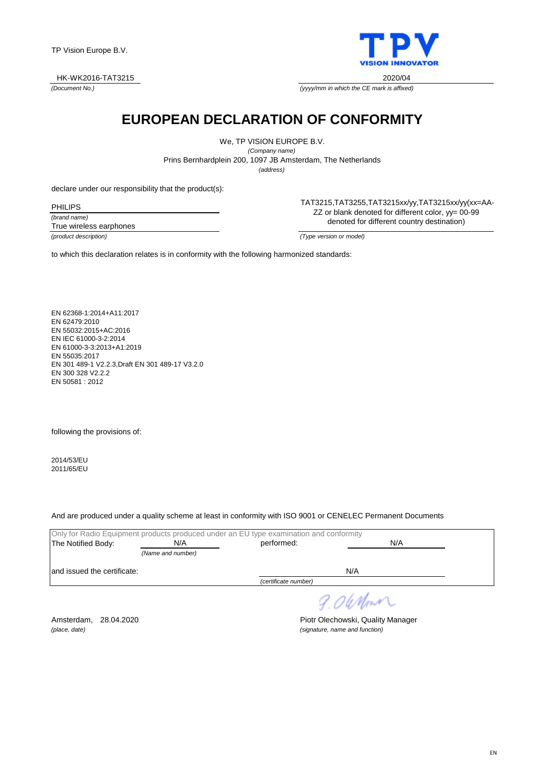

*(Document No.)*



*(yyyy/mm in which the CE mark is affixed)*

## **EUROPEAN DECLARATION OF CONFORMITY**

We, TP VISION EUROPE B.V. *(Company name)* Prins Bernhardplein 200, 1097 JB Amsterdam, The Netherlands *(address)*

declare under our responsibility that the product(s):

*(brand name)* True wireless earphones TAT3215,TAT3255,TAT3215xx/yy,TAT3215xx/yy(xx=AA-ZZ or blank denoted for different color, yy= 00-99 denoted for different country destination)

*(product description) (Type version or model)*

to which this declaration relates is in conformity with the following harmonized standards:

EN 62368-1:2014+A11:2017 EN 62479:2010 EN 55032:2015+AC:2016 EN IEC 61000-3-2:2014 EN 61000-3-3:2013+A1:2019 EN 55035:2017 EN 301 489-1 V2.2.3,Draft EN 301 489-17 V3.2.0 EN 300 328 V2.2.2 EN 50581 : 2012

following the provisions of:

2014/53/EU 2011/65/EU

And are produced under a quality scheme at least in conformity with ISO 9001 or CENELEC Permanent Documents

|                              | Only for Radio Equipment products produced under an EU type examination and conformity |                      |     |
|------------------------------|----------------------------------------------------------------------------------------|----------------------|-----|
| The Notified Body:           | N/A                                                                                    | performed:           | N/A |
|                              | (Name and number)                                                                      |                      |     |
| land issued the certificate: |                                                                                        |                      | N/A |
|                              |                                                                                        | (certificate number) |     |

9.06 Nom

Amsterdam, 28.04.2020 **Piotr Olechowski, Quality Manager** *(place, date) (signature, name and function)*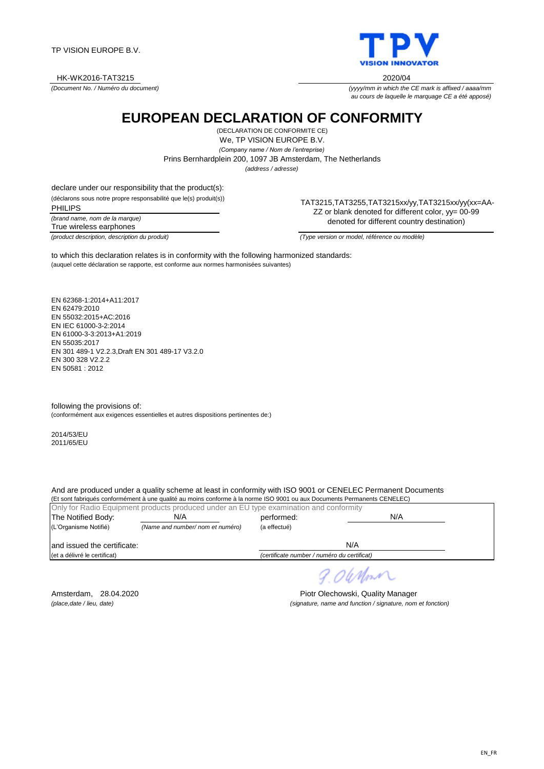TP VISION EUROPE B.V.

HK-WK2016-TAT3215 2020/04

*(Document No. / Numéro du document)*

**EUROPEAN DECLARATION OF CONFORMITY**

(DECLARATION DE CONFORMITE CE) We, TP VISION EUROPE B.V. *(Company name / Nom de l'entreprise)*

Prins Bernhardplein 200, 1097 JB Amsterdam, The Netherlands

*(address / adresse)*

declare under our responsibility that the product(s):

(déclarons sous notre propre responsabilité que le(s) produit(s)) PHILIPS

*(brand name, nom de la marque)* True wireless earphones

TAT3215,TAT3255,TAT3215xx/yy,TAT3215xx/yy(xx=AA-ZZ or blank denoted for different color, yy= 00-99 denoted for different country destination)

(auquel cette déclaration se rapporte, est conforme aux normes harmonisées suivantes) to which this declaration relates is in conformity with the following harmonized standards:

EN 62368-1:2014+A11:2017 EN 62479:2010 EN 55032:2015+AC:2016 EN IEC 61000-3-2:2014 EN 61000-3-3:2013+A1:2019 EN 55035:2017 EN 301 489-1 V2.2.3,Draft EN 301 489-17 V3.2.0 EN 300 328 V2.2.2 EN 50581 : 2012

following the provisions of: (conformément aux exigences essentielles et autres dispositions pertinentes de:)

2014/53/EU 2011/65/EU

And are produced under a quality scheme at least in conformity with ISO 9001 or CENELEC Permanent Documents

(Et sont fabriqués conformément à une qualité au moins conforme à la norme ISO 9001 ou aux Documents Permanents CENELEC) Only for Radio Equipment products produced under an EU type examination and conformity The Notified Body: N/A NOTE: performed: (L'Organisme Notifié) *(Name and number/ nom et numéro)* (a effectué) and issued the certificate: (et a délivré le certificat) *(certificate number / numéro du certificat)* N/A N/A N/A

*(place,date / lieu, date) (signature, name and function / signature, nom et fonction)*

Amsterdam, 28.04.2020 **Piotr Olechowski, Quality Manager** 

William



*au cours de laquelle le marquage CE a été apposé)*

*(yyyy/mm in which the CE mark is affixed / aaaa/mm*

*(product description, description du produit) (Type version or model, référence ou modèle)*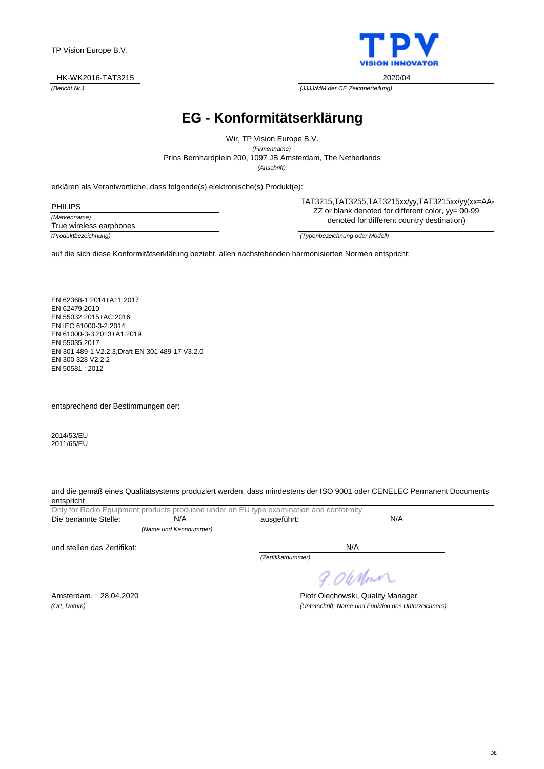erklären als Verantwortliche, dass folgende(s) elektronische(s) Produkt(e): PHILIPS

*(Markenname) (Produktbezeichnung) (Typenbezeichnung oder Modell)* True wireless earphones

TAT3215,TAT3255,TAT3215xx/yy,TAT3215xx/yy(xx=AA-ZZ or blank denoted for different color, yy= 00-99 denoted for different country destination)

auf die sich diese Konformitätserklärung bezieht, allen nachstehenden harmonisierten Normen entspricht:

EN 62368-1:2014+A11:2017 EN 62479:2010 EN 55032:2015+AC:2016 EN IEC 61000-3-2:2014 EN 61000-3-3:2013+A1:2019 EN 55035:2017 EN 301 489-1 V2.2.3,Draft EN 301 489-17 V3.2.0 EN 300 328 V2.2.2 EN 50581 : 2012

entsprechend der Bestimmungen der:

2014/53/EU 2011/65/EU

und die gemäß eines Qualitätsystems produziert werden, dass mindestens der ISO 9001 oder CENELEC Permanent Documents entspricht

|                              | Only for Radio Equipment products produced under an EU type examination and conformity |                    |     |  |  |
|------------------------------|----------------------------------------------------------------------------------------|--------------------|-----|--|--|
| Die benannte Stelle:         | N/A<br>ausgeführt:                                                                     |                    | N/A |  |  |
|                              | (Name und Kennnummer)                                                                  |                    |     |  |  |
| lund stellen das Zertifikat: |                                                                                        |                    | N/A |  |  |
|                              |                                                                                        | (Zertifikatnummer) |     |  |  |

Amsterdam, 28.04.2020 **Piotr Olechowski, Quality Manager** *(Ort, Datum) (Unterschrift, Name und Funktion des Unterzeichners)*

9.06 Nom



*(Bericht Nr.) (JJJJ/MM der CE Zeichnerteilung)* HK-WK2016-TAT3215 2020/04

**EG - Konformitätserklärung**

*(Anschrift)* Prins Bernhardplein 200, 1097 JB Amsterdam, The Netherlands Wir, TP Vision Europe B.V. *(Firmenname)*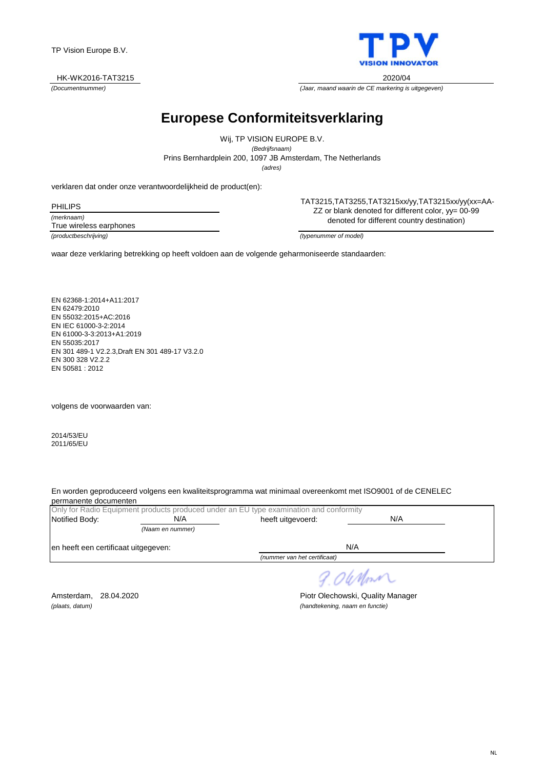

*(Documentnummer) (Jaar, maand waarin de CE markering is uitgegeven)*

### **Europese Conformiteitsverklaring**

Prins Bernhardplein 200, 1097 JB Amsterdam, The Netherlands Wij, TP VISION EUROPE B.V. *(Bedrijfsnaam) (adres)*

verklaren dat onder onze verantwoordelijkheid de product(en):

*(merknaam)* PHILIPS

True wireless earphones

TP Vision Europe B.V.

TAT3215,TAT3255,TAT3215xx/yy,TAT3215xx/yy(xx=AA-ZZ or blank denoted for different color, yy= 00-99 denoted for different country destination)

*(productbeschrijving) (typenummer of model)*

waar deze verklaring betrekking op heeft voldoen aan de volgende geharmoniseerde standaarden:

EN 62368-1:2014+A11:2017 EN 62479:2010 EN 55032:2015+AC:2016 EN IEC 61000-3-2:2014 EN 61000-3-3:2013+A1:2019 EN 55035:2017 EN 301 489-1 V2.2.3,Draft EN 301 489-17 V3.2.0 EN 300 328 V2.2.2 EN 50581 : 2012

volgens de voorwaarden van:

2014/53/EU 2011/65/EU

En worden geproduceerd volgens een kwaliteitsprogramma wat minimaal overeenkomt met ISO9001 of de CENELEC permanente documenten

|                                      |                  | Only for Radio Equipment products produced under an EU type examination and conformity |     |  |
|--------------------------------------|------------------|----------------------------------------------------------------------------------------|-----|--|
| Notified Body:                       | N/A              | heeft uitgevoerd:                                                                      | N/A |  |
|                                      | (Naam en nummer) |                                                                                        |     |  |
| en heeft een certificaat uitgegeven: |                  |                                                                                        | N/A |  |
|                                      |                  | (nummer van het certificaat)                                                           |     |  |
|                                      |                  |                                                                                        |     |  |

9.06 Nm

Amsterdam, 28.04.2020 **Piotr Olechowski, Quality Manager** *(plaats, datum) (handtekening, naam en functie)*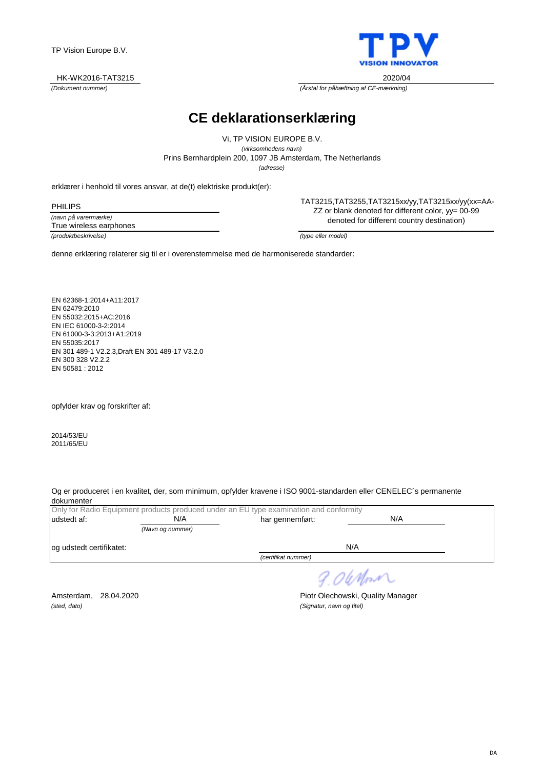DA

TP Vision Europe B.V.

#### HK-WK2016-TAT3215 2020/04

*(Dokument nummer) (Årstal for påhæftning af CE-mærkning)*

**CE deklarationserklæring**

*(adresse)* Prins Bernhardplein 200, 1097 JB Amsterdam, The Netherlands Vi, TP VISION EUROPE B.V. *(virksomhedens navn)*

erklærer i henhold til vores ansvar, at de(t) elektriske produkt(er):

*(navn på varermærke) (produktbeskrivelse) (type eller model)* PHILIPS True wireless earphones

TAT3215,TAT3255,TAT3215xx/yy,TAT3215xx/yy(xx=AA-ZZ or blank denoted for different color, yy= 00-99 denoted for different country destination)

denne erklæring relaterer sig til er i overenstemmelse med de harmoniserede standarder:

EN 62368-1:2014+A11:2017 EN 62479:2010 EN 55032:2015+AC:2016 EN IEC 61000-3-2:2014 EN 61000-3-3:2013+A1:2019 EN 55035:2017 EN 301 489-1 V2.2.3,Draft EN 301 489-17 V3.2.0 EN 300 328 V2.2.2 EN 50581 : 2012

opfylder krav og forskrifter af:

2014/53/EU 2011/65/EU

Og er produceret i en kvalitet, der, som minimum, opfylder kravene i ISO 9001-standarden eller CENELEC´s permanente dokumenter

|                          |                  | Only for Radio Equipment products produced under an EU type examination and conformity |     |  |
|--------------------------|------------------|----------------------------------------------------------------------------------------|-----|--|
| udstedt af:              | N/A              | har gennemført:                                                                        | N/A |  |
|                          | (Navn og nummer) |                                                                                        |     |  |
| og udstedt certifikatet: |                  |                                                                                        | N/A |  |
|                          |                  | (certifikat nummer)                                                                    |     |  |
|                          |                  |                                                                                        |     |  |

9.06 Mont

*(sted, dato) (Signatur, navn og titel)*

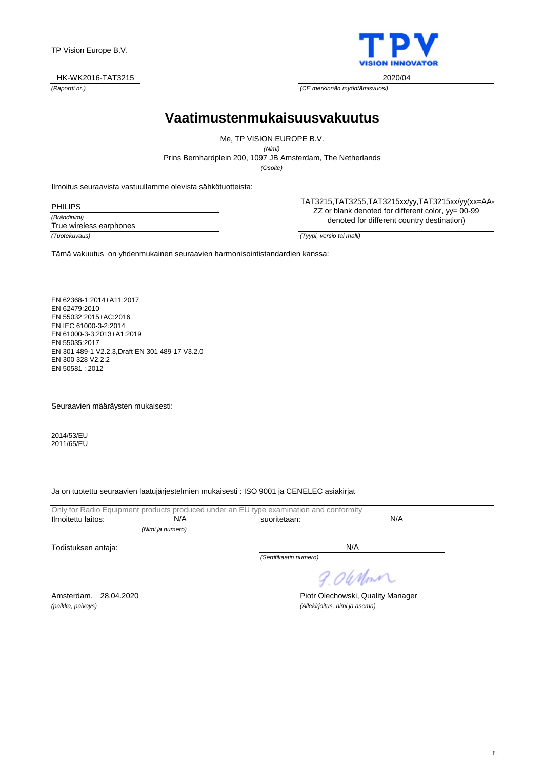#### HK-WK2016-TAT3215 2020/04

*(Raportti nr.) (CE merkinnän myöntämisvuosi)*

**Vaatimustenmukaisuusvakuutus**

*(Osoite)* Prins Bernhardplein 200, 1097 JB Amsterdam, The Netherlands Me, TP VISION EUROPE B.V. *(Nimi)*

Ilmoitus seuraavista vastuullamme olevista sähkötuotteista:

*(Brändinimi)* PHILIPS

True wireless earphones

TAT3215,TAT3255,TAT3215xx/yy,TAT3215xx/yy(xx=AA-ZZ or blank denoted for different color, yy= 00-99 denoted for different country destination)

*(Tuotekuvaus) (Tyypi, versio tai malli)*

Tämä vakuutus on yhdenmukainen seuraavien harmonisointistandardien kanssa:

EN 62368-1:2014+A11:2017 EN 62479:2010 EN 55032:2015+AC:2016 EN IEC 61000-3-2:2014 EN 61000-3-3:2013+A1:2019 EN 55035:2017 EN 301 489-1 V2.2.3,Draft EN 301 489-17 V3.2.0 EN 300 328 V2.2.2 EN 50581 : 2012

Seuraavien määräysten mukaisesti:

2014/53/EU 2011/65/EU

Ja on tuotettu seuraavien laatujärjestelmien mukaisesti : ISO 9001 ja CENELEC asiakirjat

|                     |                  | Only for Radio Equipment products produced under an EU type examination and conformity |            |  |
|---------------------|------------------|----------------------------------------------------------------------------------------|------------|--|
| Ilmoitettu laitos:  | N/A              | suoritetaan:                                                                           | N/A        |  |
|                     | (Nimi ja numero) |                                                                                        |            |  |
| Todistuksen antaja: |                  |                                                                                        | N/A        |  |
|                     |                  | (Sertifikaatin numero)                                                                 |            |  |
|                     |                  |                                                                                        | 9. OleMont |  |

Amsterdam, 28.04.2020 **Piotr Olechowski, Quality Manager**<br>(paikka, päiväys) *(allekirjoitus, nimi ja asema) (paikka, päiväys) (Allekirjoitus, nimi ja asema)*

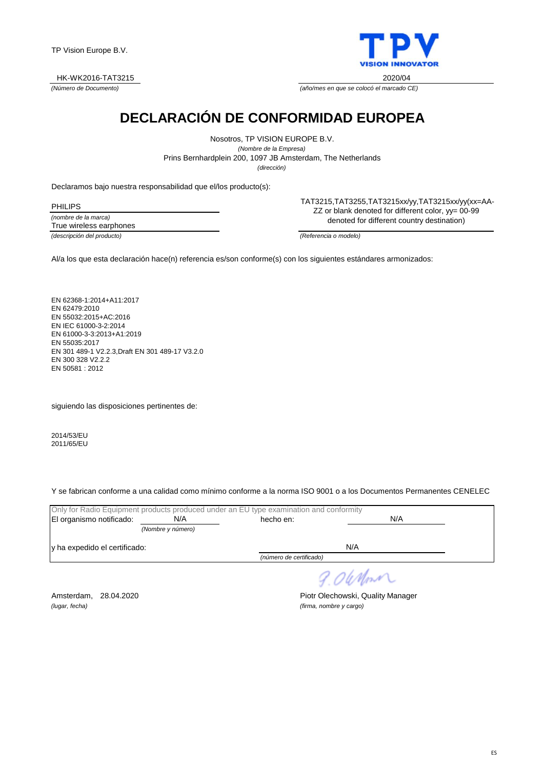



*(Número de Documento) (año/mes en que se colocó el marcado CE)*

## **DECLARACIÓN DE CONFORMIDAD EUROPEA**

*(dirección)* Prins Bernhardplein 200, 1097 JB Amsterdam, The Netherlands Nosotros, TP VISION EUROPE B.V. *(Nombre de la Empresa)*

Declaramos bajo nuestra responsabilidad que el/los producto(s):

*(nombre de la marca) (descripción del producto) (Referencia o modelo)* PHILIPS True wireless earphones

TAT3215,TAT3255,TAT3215xx/yy,TAT3215xx/yy(xx=AA-ZZ or blank denoted for different color, yy= 00-99 denoted for different country destination)

Al/a los que esta declaración hace(n) referencia es/son conforme(s) con los siguientes estándares armonizados:

EN 62368-1:2014+A11:2017 EN 62479:2010 EN 55032:2015+AC:2016 EN IEC 61000-3-2:2014 EN 61000-3-3:2013+A1:2019 EN 55035:2017 EN 301 489-1 V2.2.3,Draft EN 301 489-17 V3.2.0 EN 300 328 V2.2.2 EN 50581 : 2012

siguiendo las disposiciones pertinentes de:

2014/53/EU 2011/65/EU

Y se fabrican conforme a una calidad como mínimo conforme a la norma ISO 9001 o a los Documentos Permanentes CENELEC

|                               |                   | Only for Radio Equipment products produced under an EU type examination and conformity |     |  |
|-------------------------------|-------------------|----------------------------------------------------------------------------------------|-----|--|
| El organismo notificado:      | N/A               | hecho en:                                                                              | N/A |  |
|                               | (Nombre y número) |                                                                                        |     |  |
| y ha expedido el certificado: |                   |                                                                                        | N/A |  |
| (número de certificado)       |                   |                                                                                        |     |  |
|                               |                   |                                                                                        |     |  |

9.06 Mon

*(lugar, fecha) (firma, nombre y cargo)*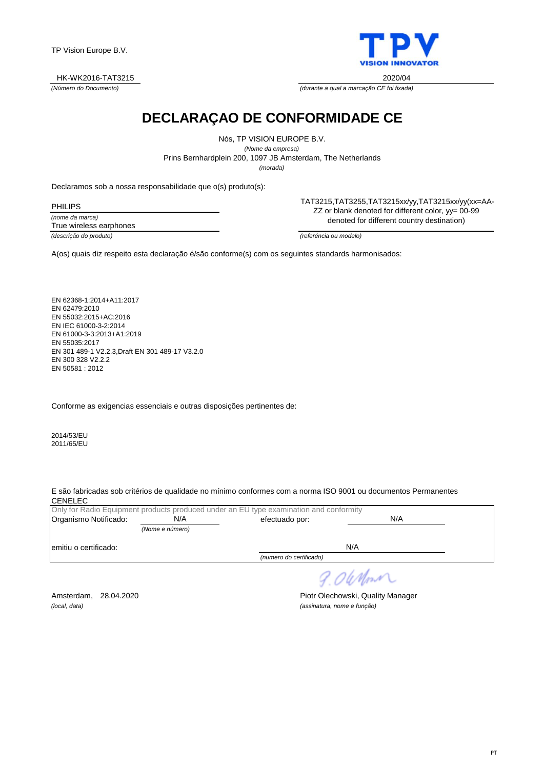#### HK-WK2016-TAT3215 2020/04

*(Número do Documento) (durante a qual a marcação CE foi fixada)*

**DECLARAÇAO DE CONFORMIDADE CE**

Nós, TP VISION EUROPE B.V. *(Nome da empresa)* Prins Bernhardplein 200, 1097 JB Amsterdam, The Netherlands *(morada)*

Declaramos sob a nossa responsabilidade que o(s) produto(s):

*(nome da marca)* PHILIPS True wireless earphones

TAT3215,TAT3255,TAT3215xx/yy,TAT3215xx/yy(xx=AA-ZZ or blank denoted for different color, yy= 00-99 denoted for different country destination)

*(descrição do produto) (referéncia ou modelo)*

A(os) quais diz respeito esta declaração é/são conforme(s) com os seguintes standards harmonisados:

EN 62368-1:2014+A11:2017 EN 62479:2010 EN 55032:2015+AC:2016 EN IEC 61000-3-2:2014 EN 61000-3-3:2013+A1:2019 EN 55035:2017 EN 301 489-1 V2.2.3,Draft EN 301 489-17 V3.2.0 EN 300 328 V2.2.2 EN 50581 : 2012

Conforme as exigencias essenciais e outras disposições pertinentes de:

2014/53/EU 2011/65/EU

E são fabricadas sob critérios de qualidade no mínimo conformes com a norma ISO 9001 ou documentos Permanentes **CENELEC** 

|                       |                 | Only for Radio Equipment products produced under an EU type examination and conformity |     |  |
|-----------------------|-----------------|----------------------------------------------------------------------------------------|-----|--|
| Organismo Notificado: | N/A             | efectuado por:                                                                         | N/A |  |
|                       | (Nome e número) |                                                                                        |     |  |
| emitiu o certificado: |                 |                                                                                        | N/A |  |
|                       |                 | (numero do certificado)                                                                |     |  |

9.06 Mont

*(local, data) (assinatura, nome e função)*

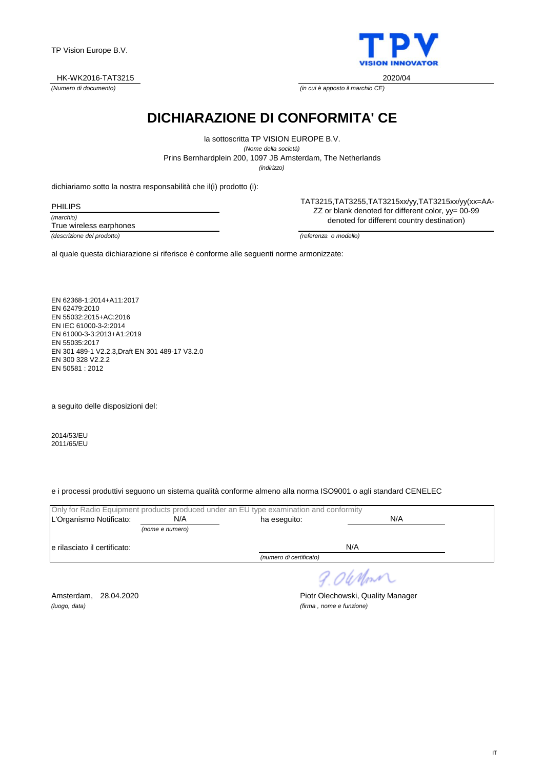#### HK-WK2016-TAT3215 2020/04

*(Numero di documento) (in cui è apposto il marchio CE)*

**DICHIARAZIONE DI CONFORMITA' CE**

*(indirizzo)* Prins Bernhardplein 200, 1097 JB Amsterdam, The Netherlands la sottoscritta TP VISION EUROPE B.V. *(Nome della società)*

dichiariamo sotto la nostra responsabilità che il(i) prodotto (i):

*(marchio)* PHILIPS True wireless earphones

*(descrizione del prodotto) (referenza o modello)*

TAT3215,TAT3255,TAT3215xx/yy,TAT3215xx/yy(xx=AA-ZZ or blank denoted for different color, yy= 00-99 denoted for different country destination)

al quale questa dichiarazione si riferisce è conforme alle seguenti norme armonizzate:

EN 62368-1:2014+A11:2017 EN 62479:2010 EN 55032:2015+AC:2016 EN IEC 61000-3-2:2014 EN 61000-3-3:2013+A1:2019 EN 55035:2017 EN 301 489-1 V2.2.3,Draft EN 301 489-17 V3.2.0 EN 300 328 V2.2.2 EN 50581 : 2012

a seguito delle disposizioni del:

2014/53/EU 2011/65/EU

e i processi produttivi seguono un sistema qualità conforme almeno alla norma ISO9001 o agli standard CENELEC

|                               |                 | Only for Radio Equipment products produced under an EU type examination and conformity |     |  |
|-------------------------------|-----------------|----------------------------------------------------------------------------------------|-----|--|
| L'Organismo Notificato:       | N/A             | ha eseguito:                                                                           | N/A |  |
|                               | (nome e numero) |                                                                                        |     |  |
| le rilasciato il certificato: |                 |                                                                                        | N/A |  |
|                               |                 | (numero di certificato)                                                                |     |  |
|                               |                 |                                                                                        |     |  |

9.06 Mon

*(luogo, data) (firma , nome e funzione)*

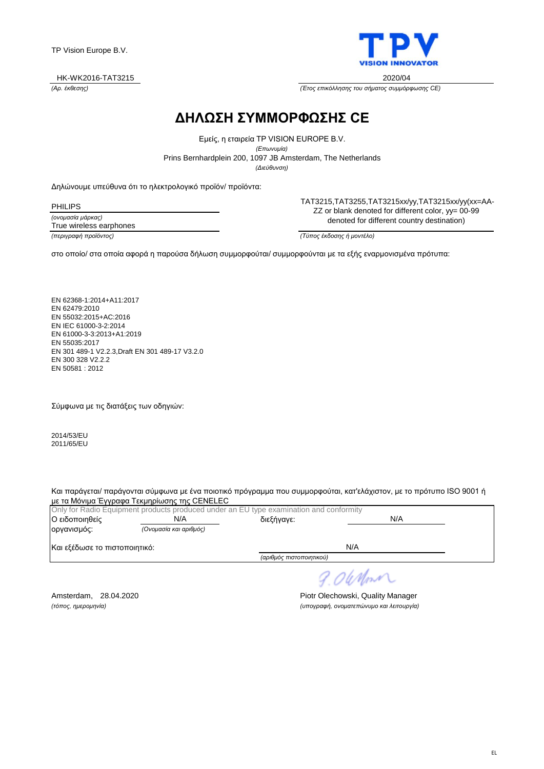

*(Αρ. έκθεσης) (Έτος επικόλλησης του σήματος συμμόρφωσης CE)*

### **ΔΗΛΩΣΗ ΣΥΜΜΟΡΦΩΣΗΣ CE**

*(Διεύθυνση)* Prins Bernhardplein 200, 1097 JB Amsterdam, The Netherlands Εμείς, η εταιρεία TP VISION EUROPE B.V. *(Επωνυμία)*

Δηλώνουμε υπεύθυνα ότι το ηλεκτρολογικό προϊόν/ προϊόντα:

PHILIPS

*(ονομασία μάρκας) (περιγραφή προϊόντος) (Τύπος έκδοσης ή μοντέλο)* True wireless earphones

TAT3215,TAT3255,TAT3215xx/yy,TAT3215xx/yy(xx=AA-ZZ or blank denoted for different color, yy= 00-99 denoted for different country destination)

στο οποίο/ στα οποία αφορά η παρούσα δήλωση συμμορφούται/ συμμορφούνται με τα εξής εναρμονισμένα πρότυπα:

EN 62368-1:2014+A11:2017 EN 62479:2010 EN 55032:2015+AC:2016 EN IEC 61000-3-2:2014 EN 61000-3-3:2013+A1:2019 EN 55035:2017 EN 301 489-1 V2.2.3,Draft EN 301 489-17 V3.2.0 EN 300 328 V2.2.2 EN 50581 : 2012

Σύμφωνα με τις διατάξεις των οδηγιών:

2014/53/EU 2011/65/EU

Και παράγεται/ παράγονται σύμφωνα με ένα ποιοτικό πρόγραμμα που συμμορφούται, κατ'ελάχιστον, με το πρότυπο ISO 9001 ή με τα Μόνιμα Έγγραφα Τεκμηρίωσης της CENELEC

| Ο ειδοποιηθείς                | Only for Radio Equipment products produced under an EU type examination and conformity<br>N/A | διεξήγαγε:               | N/A |
|-------------------------------|-----------------------------------------------------------------------------------------------|--------------------------|-----|
| οργανισμός:                   | (Ονομασία και αριθμός)                                                                        |                          |     |
| Και εξέδωσε το πιστοποιητικό: |                                                                                               |                          | N/A |
|                               |                                                                                               | (αριθμός πιστοποιητικού) |     |

9.06 Nm

Amsterdam, 28.04.2020 **Piotr Olechowski, Quality Manager** *(τόπος, ημερομηνία) (υπογραφή, ονοματεπώνυμο και λειτουργία)*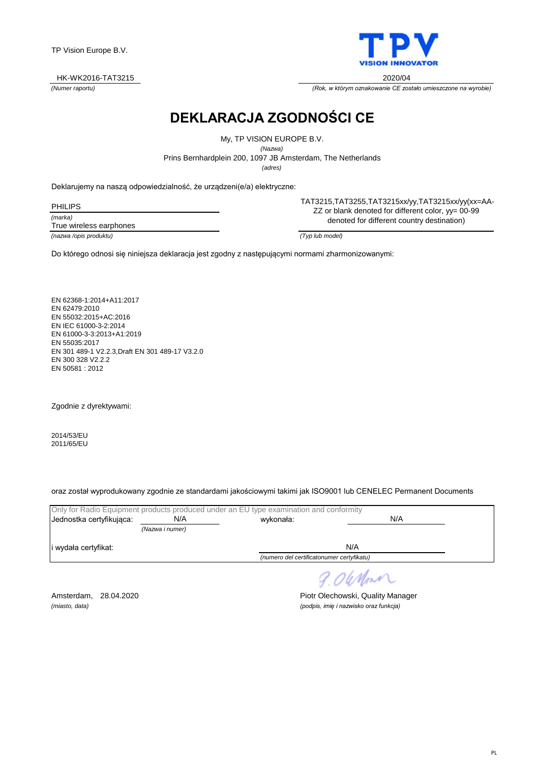PL

TP Vision Europe B.V.

#### HK-WK2016-TAT3215 2020/04

**DEKLARACJA ZGODNOŚCI CE**

Prins Bernhardplein 200, 1097 JB Amsterdam, The Netherlands My, TP VISION EUROPE B.V. *(Nazwa)*

*(adres)*

Deklarujemy na naszą odpowiedzialność, że urządzeni(e/a) elektryczne:

*(marka)* PHILIPS True wireless earphones

*(nazwa /opis produktu) (Typ lub model)*

TAT3215,TAT3255,TAT3215xx/yy,TAT3215xx/yy(xx=AA-ZZ or blank denoted for different color, yy= 00-99 denoted for different country destination)

Do którego odnosi się niniejsza deklaracja jest zgodny z następującymi normami zharmonizowanymi:

EN 62368-1:2014+A11:2017 EN 62479:2010 EN 55032:2015+AC:2016 EN IEC 61000-3-2:2014 EN 61000-3-3:2013+A1:2019 EN 55035:2017 EN 301 489-1 V2.2.3,Draft EN 301 489-17 V3.2.0 EN 300 328 V2.2.2 EN 50581 : 2012

Zgodnie z dyrektywami:

2014/53/EU 2011/65/EU

oraz został wyprodukowany zgodnie ze standardami jakościowymi takimi jak ISO9001 lub CENELEC Permanent Documents

|                          |                 | Only for Radio Equipment products produced under an EU type examination and conformity |     |  |
|--------------------------|-----------------|----------------------------------------------------------------------------------------|-----|--|
| Jednostka certyfikujaca: | N/A             | wykonała:                                                                              | N/A |  |
|                          | (Nazwa i numer) |                                                                                        |     |  |
| i wydała certyfikat:     |                 |                                                                                        | N/A |  |
|                          |                 | (numero del certificatonumer certyfikatu)                                              |     |  |

9.06 Mon

Amsterdam, 28.04.2020 **Piotr Olechowski, Quality Manager** *(miasto, data) (podpis, imię i nazwisko oraz funkcja)*



*(Numer raportu) (Rok, w którym oznakowanie CE zostało umieszczone na wyrobie)*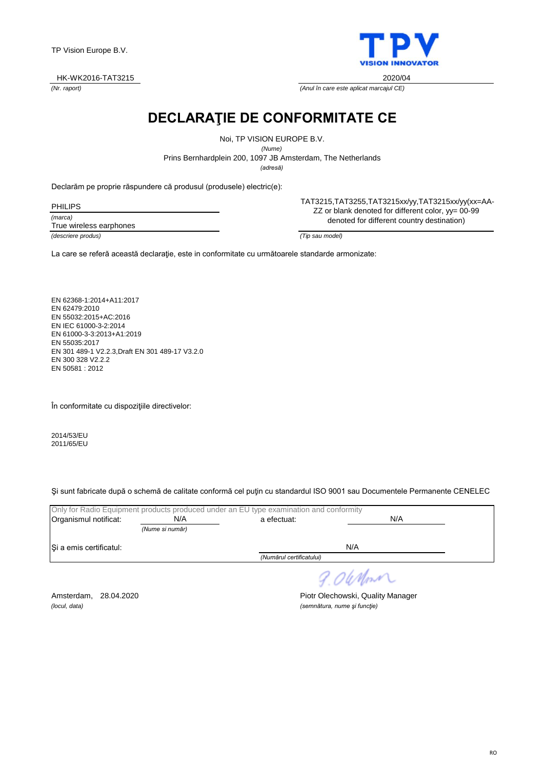#### HK-WK2016-TAT3215 2020/04

*(Nr. raport) (Anul în care este aplicat marcajul CE)*

**DECLARAŢIE DE CONFORMITATE CE**

Noi, TP VISION EUROPE B.V.

*(Nume)*

Prins Bernhardplein 200, 1097 JB Amsterdam, The Netherlands

*(adresă)*

Declarăm pe proprie răspundere că produsul (produsele) electric(e):

*(marca)* PHILIPS True wireless earphones

*(descriere produs) (Tip sau model)*

TAT3215,TAT3255,TAT3215xx/yy,TAT3215xx/yy(xx=AA-ZZ or blank denoted for different color, yy= 00-99 denoted for different country destination)

La care se referă această declaraţie, este in conformitate cu următoarele standarde armonizate:

EN 62368-1:2014+A11:2017 EN 62479:2010 EN 55032:2015+AC:2016 EN IEC 61000-3-2:2014 EN 61000-3-3:2013+A1:2019 EN 55035:2017 EN 301 489-1 V2.2.3,Draft EN 301 489-17 V3.2.0 EN 300 328 V2.2.2 EN 50581 : 2012

În conformitate cu dispoziţiile directivelor:

2014/53/EU 2011/65/EU

Şi sunt fabricate după o schemă de calitate conformă cel puţin cu standardul ISO 9001 sau Documentele Permanente CENELEC

|                         |                 | Only for Radio Equipment products produced under an EU type examination and conformity |     |  |
|-------------------------|-----------------|----------------------------------------------------------------------------------------|-----|--|
| Organismul notificat:   | N/A             | a efectuat:                                                                            | N/A |  |
|                         | (Nume si număr) |                                                                                        |     |  |
| Si a emis certificatul: |                 |                                                                                        | N/A |  |
|                         |                 | (Numărul certificatului)                                                               |     |  |
|                         |                 |                                                                                        |     |  |

9.06 Mon

*(locul, data) (semnătura, nume şi funcţie)*

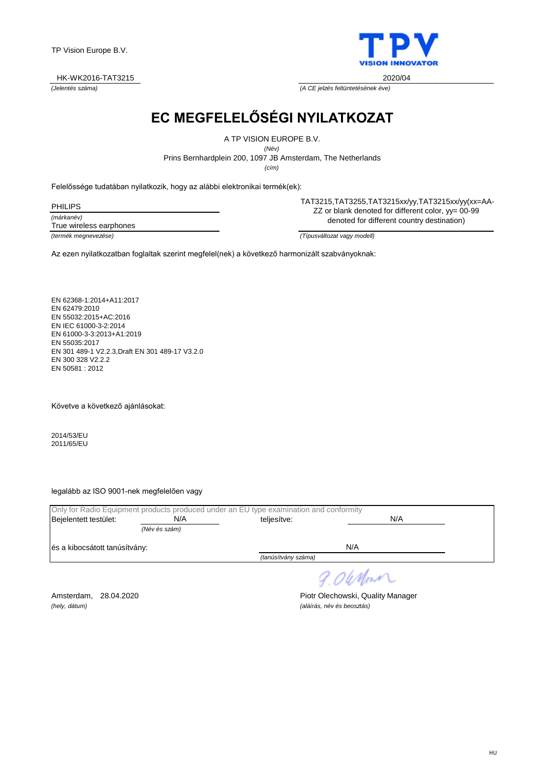#### HK-WK2016-TAT3215 2020/04

**EC MEGFELELŐSÉGI NYILATKOZAT**

A TP VISION EUROPE B.V.

*(Név)*

Prins Bernhardplein 200, 1097 JB Amsterdam, The Netherlands

*(cím)*

Felelőssége tudatában nyilatkozik, hogy az alábbi elektronikai termék(ek):

*(márkanév) (termék megnevezése) (Típusváltozat vagy modell)* PHILIPS True wireless earphones

TAT3215,TAT3255,TAT3215xx/yy,TAT3215xx/yy(xx=AA-ZZ or blank denoted for different color, yy= 00-99 denoted for different country destination)

Az ezen nyilatkozatban foglaltak szerint megfelel(nek) a következő harmonizált szabványoknak:

EN 62368-1:2014+A11:2017 EN 62479:2010 EN 55032:2015+AC:2016 EN IEC 61000-3-2:2014 EN 61000-3-3:2013+A1:2019 EN 55035:2017 EN 301 489-1 V2.2.3,Draft EN 301 489-17 V3.2.0 EN 300 328 V2.2.2 EN 50581 : 2012

Követve a következő ajánlásokat:

2014/53/EU 2011/65/EU

legalább az ISO 9001-nek megfelelően vagy

|                               |               | Only for Radio Equipment products produced under an EU type examination and conformity |     |  |
|-------------------------------|---------------|----------------------------------------------------------------------------------------|-----|--|
| Bejelentett testület:         | N/A           | teliesítve:                                                                            | N/A |  |
|                               | (Név és szám) |                                                                                        |     |  |
| és a kibocsátott tanúsítvány: |               |                                                                                        | N/A |  |
|                               |               | (tanúsítvány száma)                                                                    |     |  |
|                               |               |                                                                                        |     |  |

9.06 Mont

*(hely, dátum) (aláírás, név és beosztás)*

Amsterdam, 28.04.2020 **Piotr Olechowski, Quality Manager** 

*(Jelentés száma) (A CE jelzés feltüntetésének éve)*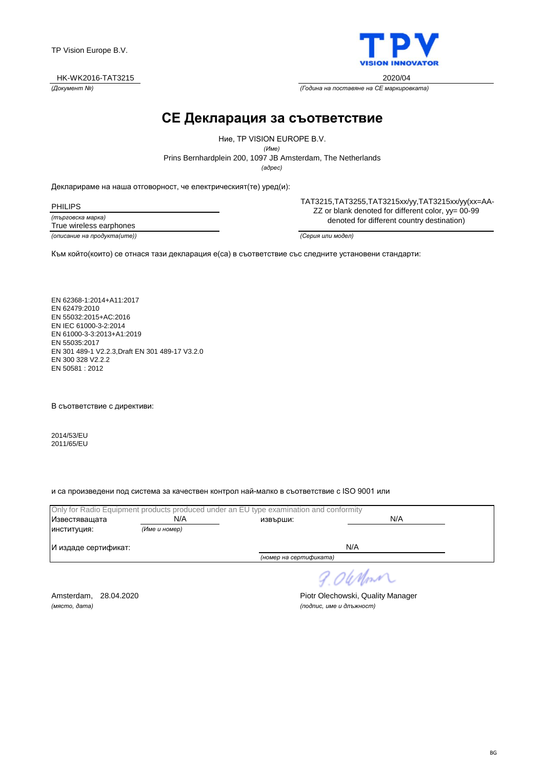#### HK-WK2016-TAT3215 2020/04

### **CE Декларация за съответствие**

Prins Bernhardplein 200, 1097 JB Amsterdam, The Netherlands Ние, TP VISION EUROPE B.V. *(Име) (адрес)*

Декларираме на наша отговорност, че електрическият(те) уред(и):

*(търговска марка)* PHILIPS True wireless earphones

*(описание на продукта(ите)) (Серия или модел)*

TAT3215,TAT3255,TAT3215xx/yy,TAT3215xx/yy(xx=AA-ZZ or blank denoted for different color, yy= 00-99 denoted for different country destination)

Към който(които) се отнася тази декларация е(са) в съответствие със следните установени стандарти:

EN 62368-1:2014+A11:2017 EN 62479:2010 EN 55032:2015+AC:2016 EN IEC 61000-3-2:2014 EN 61000-3-3:2013+A1:2019 EN 55035:2017 EN 301 489-1 V2.2.3,Draft EN 301 489-17 V3.2.0 EN 300 328 V2.2.2 EN 50581 : 2012

В съответствие с директиви:

2014/53/EU 2011/65/EU

и са произведени под система за качествен контрол най-малко в съответствие с ISO 9001 или

|                      |               | Only for Radio Equipment products produced under an EU type examination and conformity |     |  |
|----------------------|---------------|----------------------------------------------------------------------------------------|-----|--|
| Известяващата        | N/A           | извърши:                                                                               | N/A |  |
| ИНСТИТУЦИЯ:          | (Име и номер) |                                                                                        |     |  |
| И издаде сертификат: |               | N/A                                                                                    |     |  |
|                      |               | (номер на сертификата)                                                                 |     |  |
|                      |               |                                                                                        |     |  |

9.06 Nm

Amsterdam, 28.04.2020 **Piotr Olechowski, Quality Manager** Piotr Plechowski, Quality Manager<br>(Macmo, dama) *(място, дата) (подпис, име и длъжност)*



*(Документ №) (Година на поставяне на CE маркировката)*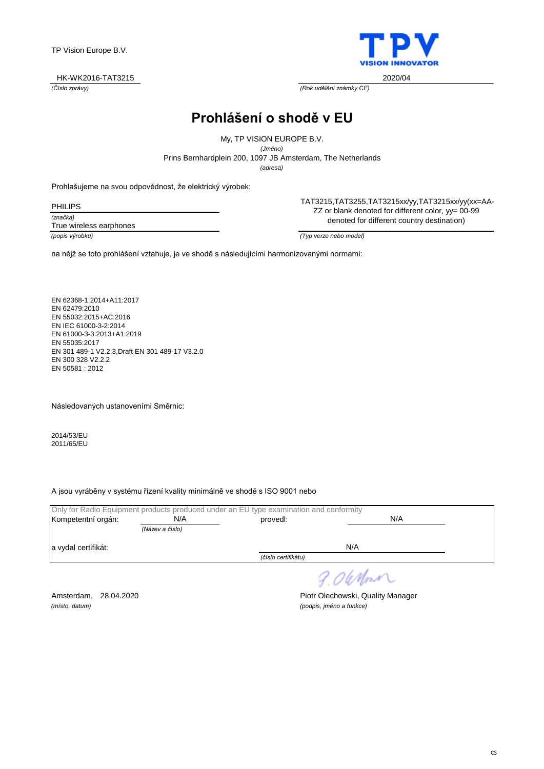#### HK-WK2016-TAT3215 2020/04

*(Číslo zprávy) (Rok udělění známky CE)*

**Prohlášení o shodě v EU**

Prins Bernhardplein 200, 1097 JB Amsterdam, The Netherlands My, TP VISION EUROPE B.V. *(Jméno) (adresa)*

Prohlašujeme na svou odpovědnost, že elektrický výrobek:

*(značka)* PHILIPS True wireless earphones

TAT3215,TAT3255,TAT3215xx/yy,TAT3215xx/yy(xx=AA-ZZ or blank denoted for different color, yy= 00-99 denoted for different country destination)

*(popis výrobku) (Typ verze nebo model)*

na nějž se toto prohlášení vztahuje, je ve shodě s následujícími harmonizovanými normami:

EN 62368-1:2014+A11:2017 EN 62479:2010 EN 55032:2015+AC:2016 EN IEC 61000-3-2:2014 EN 61000-3-3:2013+A1:2019 EN 55035:2017 EN 301 489-1 V2.2.3,Draft EN 301 489-17 V3.2.0 EN 300 328 V2.2.2 EN 50581 : 2012

Následovaných ustanoveními Směrnic:

2014/53/EU 2011/65/EU

A jsou vyráběny v systému řízení kvality minimálně ve shodě s ISO 9001 nebo

|                     |                 | Only for Radio Equipment products produced under an EU type examination and conformity |     |  |
|---------------------|-----------------|----------------------------------------------------------------------------------------|-----|--|
| Kompetentní orgán:  | N/A             | provedl:                                                                               | N/A |  |
|                     | (Název a číslo) |                                                                                        |     |  |
| a vydal certifikát: |                 |                                                                                        | N/A |  |
|                     |                 | (číslo certifikátu)                                                                    |     |  |
|                     |                 |                                                                                        |     |  |

*(místo, datum) (podpis, jméno a funkce)*



9.06 Mon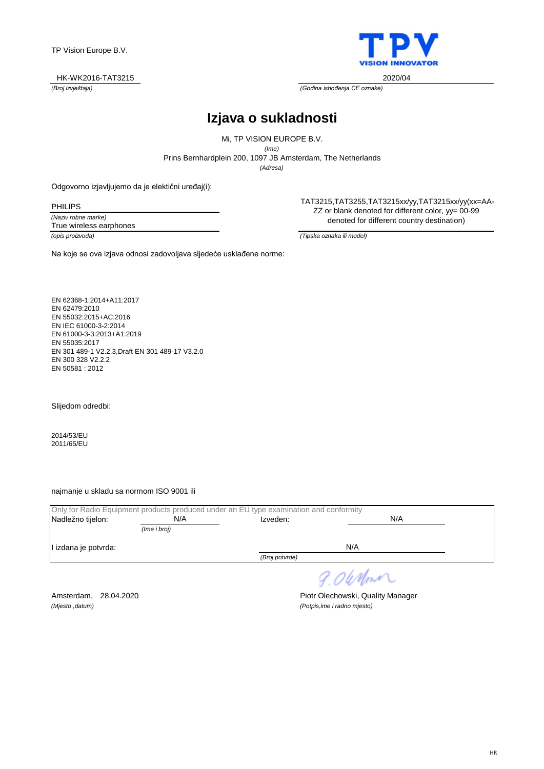

*(Broj izvještaja) (Godina ishođenja CE oznake)*

# **Izjava o sukladnosti**

Prins Bernhardplein 200, 1097 JB Amsterdam, The Netherlands Mi, TP VISION EUROPE B.V. *(Ime) (Adresa)*

Odgovorno izjavljujemo da je elektični uređaj(i):

Na koje se ova izjava odnosi zadovoljava sljedeće usklađene norme:

PHILIPS

*(Naziv robne marke)* True wireless earphones

TAT3215,TAT3255,TAT3215xx/yy,TAT3215xx/yy(xx=AA-ZZ or blank denoted for different color, yy= 00-99 denoted for different country destination)

*(opis proizvoda) (Tipska oznaka ili model)*

EN 62368-1:2014+A11:2017 EN 62479:2010 EN 55032:2015+AC:2016 EN IEC 61000-3-2:2014 EN 61000-3-3:2013+A1:2019 EN 55035:2017 EN 301 489-1 V2.2.3,Draft EN 301 489-17 V3.2.0 EN 300 328 V2.2.2 EN 50581 : 2012

Slijedom odredbi:

2014/53/EU 2011/65/EU

najmanje u skladu sa normom ISO 9001 ili

|                      |              | Only for Radio Equipment products produced under an EU type examination and conformity |     |  |
|----------------------|--------------|----------------------------------------------------------------------------------------|-----|--|
| Nadležno tijelon:    | N/A          | Izveden:                                                                               | N/A |  |
|                      | (Ime i broj) |                                                                                        |     |  |
| I izdana je potvrda: |              |                                                                                        | N/A |  |
|                      |              | (Broj potvrde)                                                                         |     |  |
|                      |              |                                                                                        |     |  |

9.06 Mon

*(Mjesto ,datum) (Potpis,ime i radno mjesto)*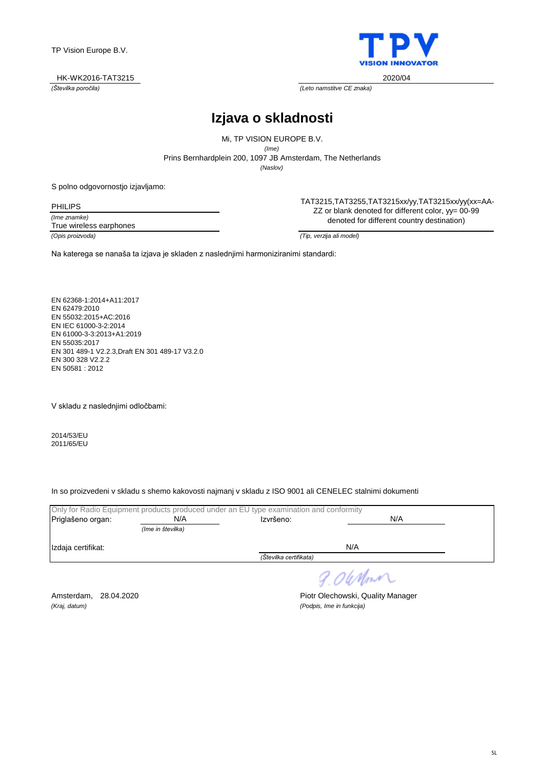

*(Številka poročila) (Leto namstitve CE znaka)*

# **Izjava o skladnosti**

Prins Bernhardplein 200, 1097 JB Amsterdam, The Netherlands Mi, TP VISION EUROPE B.V. *(Ime) (Naslov)*

S polno odgovornostjo izjavljamo:

PHILIPS

*(Ime znamke)*

True wireless earphones

TAT3215,TAT3255,TAT3215xx/yy,TAT3215xx/yy(xx=AA-ZZ or blank denoted for different color, yy= 00-99 denoted for different country destination)

*(Opis proizvoda) (Tip, verzija ali model)*

Na katerega se nanaša ta izjava je skladen z naslednjimi harmoniziranimi standardi:

EN 62368-1:2014+A11:2017 EN 62479:2010 EN 55032:2015+AC:2016 EN IEC 61000-3-2:2014 EN 61000-3-3:2013+A1:2019 EN 55035:2017 EN 301 489-1 V2.2.3,Draft EN 301 489-17 V3.2.0 EN 300 328 V2.2.2 EN 50581 : 2012

V skladu z naslednjimi odločbami:

2014/53/EU 2011/65/EU

In so proizvedeni v skladu s shemo kakovosti najmanj v skladu z ISO 9001 ali CENELEC stalnimi dokumenti

|                        |                   | Only for Radio Equipment products produced under an EU type examination and conformity |     |  |
|------------------------|-------------------|----------------------------------------------------------------------------------------|-----|--|
| Priglašeno organ:      | N/A               | N/A<br>Izvršeno:                                                                       |     |  |
|                        | (Ime in številka) |                                                                                        |     |  |
| Izdaja certifikat:     |                   |                                                                                        | N/A |  |
| (Številka certifikata) |                   |                                                                                        |     |  |
|                        |                   |                                                                                        |     |  |

9.06 Mon

*(Kraj, datum) (Podpis, Ime in funkcija)*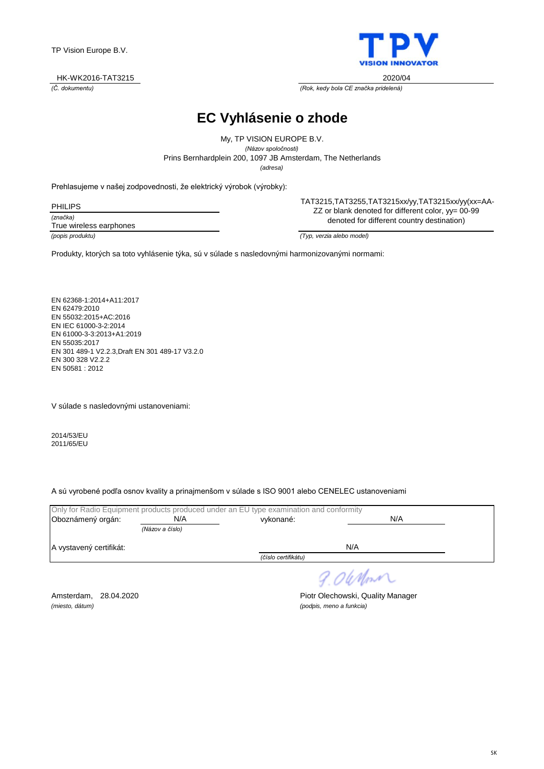

*(Č. dokumentu) (Rok, kedy bola CE značka pridelená)*

**EC Vyhlásenie o zhode**

Prins Bernhardplein 200, 1097 JB Amsterdam, The Netherlands My, TP VISION EUROPE B.V. *(Názov spoločnosti) (adresa)*

Prehlasujeme v našej zodpovednosti, že elektrický výrobok (výrobky):

| <b>PHILIPS</b>          |  |
|-------------------------|--|
| (značka)                |  |
| True wireless earphones |  |
|                         |  |

TAT3215,TAT3255,TAT3215xx/yy,TAT3215xx/yy(xx=AA-ZZ or blank denoted for different color, yy= 00-99 denoted for different country destination)

*(popis produktu) (Typ, verzia alebo model)*

Produkty, ktorých sa toto vyhlásenie týka, sú v súlade s nasledovnými harmonizovanými normami:

EN 62368-1:2014+A11:2017 EN 62479:2010 EN 55032:2015+AC:2016 EN IEC 61000-3-2:2014 EN 61000-3-3:2013+A1:2019 EN 55035:2017 EN 301 489-1 V2.2.3,Draft EN 301 489-17 V3.2.0 EN 300 328 V2.2.2 EN 50581 : 2012

V súlade s nasledovnými ustanoveniami:

2014/53/EU 2011/65/EU

A sú vyrobené podľa osnov kvality a prinajmenšom v súlade s ISO 9001 alebo CENELEC ustanoveniami

|                         |                 | Only for Radio Equipment products produced under an EU type examination and conformity |      |  |
|-------------------------|-----------------|----------------------------------------------------------------------------------------|------|--|
| Oboznámený orgán:       | N/A             | vykonané:                                                                              | N/A  |  |
|                         | (Názov a číslo) |                                                                                        |      |  |
| A vystavený certifikát: |                 |                                                                                        | N/A  |  |
|                         |                 | (číslo certifikátu)                                                                    |      |  |
|                         |                 |                                                                                        | ____ |  |

9.0 When

*(miesto, dátum) (podpis, meno a funkcia)*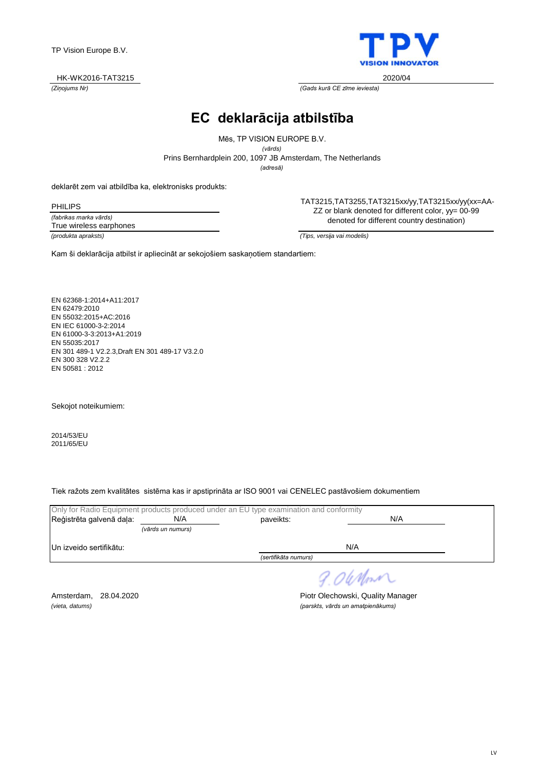#### HK-WK2016-TAT3215 2020/04

*(Ziņojums Nr) (Gads kurā CE zīme ieviesta)*

**EC deklarācija atbilstība**

Prins Bernhardplein 200, 1097 JB Amsterdam, The Netherlands Mēs, TP VISION EUROPE B.V. *(vārds) (adresă)*

deklarēt zem vai atbildība ka, elektronisks produkts:

*(fabrikas marka vārds)* PHILIPS True wireless earphones

TAT3215,TAT3255,TAT3215xx/yy,TAT3215xx/yy(xx=AA-ZZ or blank denoted for different color, yy= 00-99 denoted for different country destination)

*(produkta apraksts) (Tips, versija vai modelis)*

Kam ši deklarācija atbilst ir apliecināt ar sekojošiem saskaņotiem standartiem:

EN 62368-1:2014+A11:2017 EN 62479:2010 EN 55032:2015+AC:2016 EN IEC 61000-3-2:2014 EN 61000-3-3:2013+A1:2019 EN 55035:2017 EN 301 489-1 V2.2.3,Draft EN 301 489-17 V3.2.0 EN 300 328 V2.2.2 EN 50581 : 2012

Sekojot noteikumiem:

2014/53/EU 2011/65/EU

Tiek ražots zem kvalitātes sistēma kas ir apstiprināta ar ISO 9001 vai CENELEC pastāvošiem dokumentiem

|                          |                   | Only for Radio Equipment products produced under an EU type examination and conformity |          |  |
|--------------------------|-------------------|----------------------------------------------------------------------------------------|----------|--|
| Reģistrēta galvenā daļa: | N/A               | paveikts:                                                                              | N/A      |  |
|                          | (vārds un numurs) |                                                                                        |          |  |
| Un izveido sertifikātu:  |                   |                                                                                        | N/A      |  |
|                          |                   | (sertifikāta numurs)                                                                   |          |  |
|                          |                   |                                                                                        | 9.0 When |  |

Amsterdam, 28.04.2020 **Piotr Olechowski, Quality Manager** *(vieta, datums) (parskts, vārds un amatpienākums)*

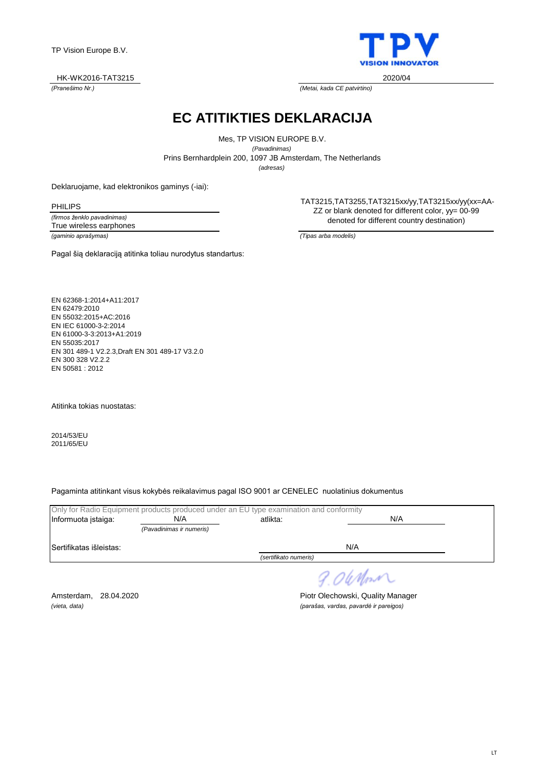#### HK-WK2016-TAT3215 2020/04

*(Pranešimo Nr.) (Metai, kada CE patvirtino)*

**EC ATITIKTIES DEKLARACIJA**

Prins Bernhardplein 200, 1097 JB Amsterdam, The Netherlands Mes, TP VISION EUROPE B.V. *(Pavadinimas) (adresas)*

Deklaruojame, kad elektronikos gaminys (-iai):

PHILIPS

*(firmos ženklo pavadinimas) (gaminio aprašymas) (Tipas arba modelis)* True wireless earphones

Pagal šią deklaraciją atitinka toliau nurodytus standartus:

TAT3215,TAT3255,TAT3215xx/yy,TAT3215xx/yy(xx=AA-ZZ or blank denoted for different color, yy= 00-99 denoted for different country destination)

EN 62368-1:2014+A11:2017 EN 62479:2010 EN 55032:2015+AC:2016 EN IEC 61000-3-2:2014 EN 61000-3-3:2013+A1:2019 EN 55035:2017 EN 301 489-1 V2.2.3,Draft EN 301 489-17 V3.2.0 EN 300 328 V2.2.2 EN 50581 : 2012

Atitinka tokias nuostatas:

2014/53/EU 2011/65/EU

Pagaminta atitinkant visus kokybės reikalavimus pagal ISO 9001 ar CENELEC nuolatinius dokumentus

|                          | Only for Radio Equipment products produced under an EU type examination and conformity |                       |     |  |
|--------------------------|----------------------------------------------------------------------------------------|-----------------------|-----|--|
| Informuota istaiga:      | N/A                                                                                    | N/A<br>atlikta:       |     |  |
|                          | (Pavadinimas ir numeris)                                                               |                       |     |  |
| lSertifikatas išleistas: |                                                                                        |                       | N/A |  |
|                          |                                                                                        | (sertifikato numeris) |     |  |
|                          |                                                                                        |                       |     |  |

9.06 Mon

Amsterdam, 28.04.2020 **Piotr Olechowski, Quality Manager** *(vieta, data) (parašas, vardas, pavardė ir pareigos)*